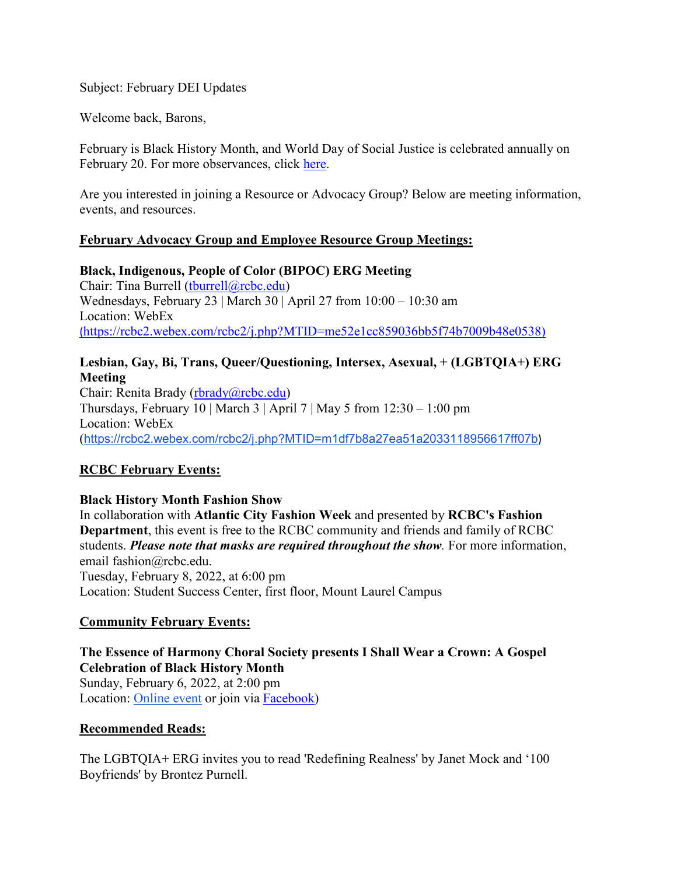Subject: February DEI Updates

Welcome back, Barons,

February is Black History Month, and World Day of Social Justice is celebrated annually on February 20. For more observances, click [here.](https://rcbc.edu/sites/default/files/Documents/diversity/RCBC_DEI_Calendar21921.pdf)

Are you interested in joining a Resource or Advocacy Group? Below are meeting information, events, and resources.

## **February Advocacy Group and Employee Resource Group Meetings:**

**Black, Indigenous, People of Color (BIPOC) ERG Meeting** Chair: Tina Burrell [\(tburrell@rcbc.edu\)](mailto:tburrell@rcbc.edu) Wednesdays, February 23 | March 30 | April 27 from 10:00 – 10:30 am Location: WebEx (https://rcbc2.webex.com/rcbc2/j.php?MTID=me52e1cc859036bb5f74b7009b48e0538)

## **Lesbian, Gay, Bi, Trans, Queer/Questioning, Intersex, Asexual, + (LGBTQIA+) ERG Meeting**

Chair: Renita Brady [\(rbrady@rcbc.edu\)](mailto:rbrady@rcbc.edu) Thursdays, February 10 | March 3 | April 7 | May 5 from  $12:30 - 1:00$  pm Location: WebEx (<https://rcbc2.webex.com/rcbc2/j.php?MTID=m1df7b8a27ea51a2033118956617ff07b>)

# **RCBC February Events:**

## **Black History Month Fashion Show**

In collaboration with **Atlantic City Fashion Week** and presented by **RCBC's Fashion Department**, this event is free to the RCBC community and friends and family of RCBC students. *Please note that masks are required throughout the show.* For more information, email fashion@rcbc.edu. Tuesday, February 8, 2022, at 6:00 pm Location: Student Success Center, first floor, Mount Laurel Campus

## **Community February Events:**

**The Essence of Harmony Choral Society presents I Shall Wear a Crown: A Gospel Celebration of Black History Month** Sunday, February 6, 2022, at 2:00 pm Location: [Online event](https://www.youtube.com/channel/UCLb9ZYi9pYNuD-1aA3YUhUQ) or join via **Facebook**)

## **Recommended Reads:**

The LGBTQIA+ ERG invites you to read 'Redefining Realness' by Janet Mock and '100 Boyfriends' by Brontez Purnell.